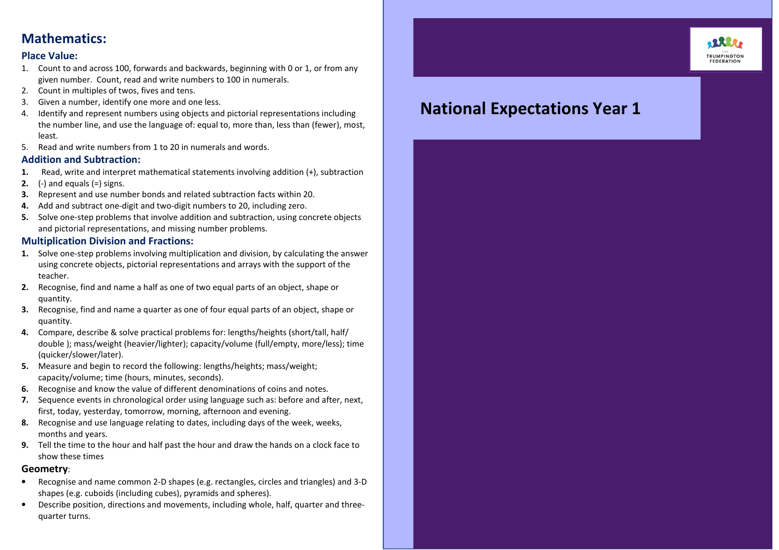### Mathematics:

#### Place Value:

- 1. Count to and across 100, forwards and backwards, beginning with 0 or 1, or from any given number. Count, read and write numbers to 100 in numerals.
- 2. Count in multiples of twos, fives and tens.
- 3.Given a number, identify one more and one less.
- 4. Identify and represent numbers using objects and pictorial representations including the number line, and use the language of: equal to, more than, less than (fewer). most. least.
- 5. Read and write numbers from 1 to 20 in numerals and words.

#### Addition and Subtraction:

- 1.Read, write and interpret mathematical statements involving addition (+), subtraction
- **2.**  $(-)$  and equals  $(=)$  signs.
- 3.Represent and use number bonds and related subtraction facts within 20.
- 4.Add and subtract one-digit and two-digit numbers to 20, including zero.
- 5. Solve one-step problems that involve addition and subtraction, using concrete objects and pictorial representations, and missing number problems.

#### Multiplication Division and Fractions:

- 1. Solve one-step problems involving multiplication and division, by calculating the answer using concrete objects, pictorial representations and arrays with the support of the teacher.
- 2. Recognise, find and name a half as one of two equal parts of an object, shape or quantity.
- 3. Recognise, find and name a quarter as one of four equal parts of an object, shape or quantity.
- 4. Compare, describe & solve practical problems for: lengths/heights (short/tall, half/ double ); mass/weight (heavier/lighter); capacity/volume (full/empty, more/less); time (quicker/slower/later).
- 5. Measure and begin to record the following: lengths/heights; mass/weight; capacity/volume; time (hours, minutes, seconds).
- 6. Recognise and know the value of different denominations of coins and notes.
- 7. Sequence events in chronological order using language such as: before and after, next, first, today, yesterday, tomorrow, morning, afternoon and evening.
- 8. Recognise and use language relating to dates, including days of the week, weeks, months and years.
- 9. Tell the time to the hour and half past the hour and draw the hands on a clock face to show these times

#### Geometry:

- • Recognise and name common 2-D shapes (e.g. rectangles, circles and triangles) and 3-D shapes (e.g. cuboids (including cubes), pyramids and spheres).
- • Describe position, directions and movements, including whole, half, quarter and threequarter turns.

## **.25.28 TRUMPINGTON**<br>FEDERATION

# National Expectations Year 1